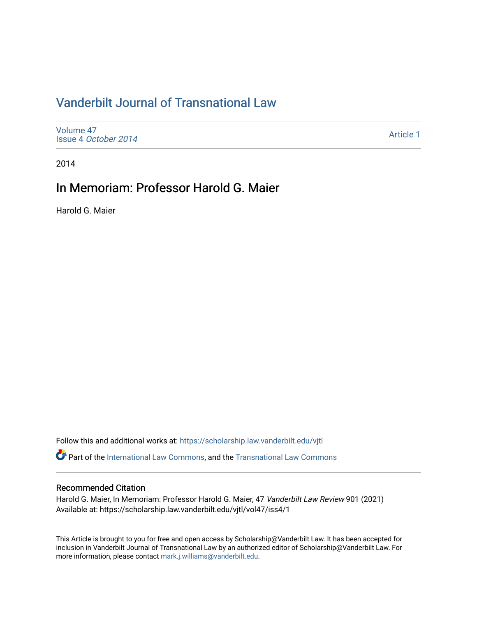# [Vanderbilt Journal of Transnational Law](https://scholarship.law.vanderbilt.edu/vjtl)

[Volume 47](https://scholarship.law.vanderbilt.edu/vjtl/vol47) Issue 4 [October 2014](https://scholarship.law.vanderbilt.edu/vjtl/vol47/iss4)

[Article 1](https://scholarship.law.vanderbilt.edu/vjtl/vol47/iss4/1) 

2014

## In Memoriam: Professor Harold G. Maier

Harold G. Maier

Follow this and additional works at: [https://scholarship.law.vanderbilt.edu/vjtl](https://scholarship.law.vanderbilt.edu/vjtl?utm_source=scholarship.law.vanderbilt.edu%2Fvjtl%2Fvol47%2Fiss4%2F1&utm_medium=PDF&utm_campaign=PDFCoverPages) 

Part of the [International Law Commons,](http://network.bepress.com/hgg/discipline/609?utm_source=scholarship.law.vanderbilt.edu%2Fvjtl%2Fvol47%2Fiss4%2F1&utm_medium=PDF&utm_campaign=PDFCoverPages) and the [Transnational Law Commons](http://network.bepress.com/hgg/discipline/1123?utm_source=scholarship.law.vanderbilt.edu%2Fvjtl%2Fvol47%2Fiss4%2F1&utm_medium=PDF&utm_campaign=PDFCoverPages) 

#### Recommended Citation

Harold G. Maier, In Memoriam: Professor Harold G. Maier, 47 Vanderbilt Law Review 901 (2021) Available at: https://scholarship.law.vanderbilt.edu/vjtl/vol47/iss4/1

This Article is brought to you for free and open access by Scholarship@Vanderbilt Law. It has been accepted for inclusion in Vanderbilt Journal of Transnational Law by an authorized editor of Scholarship@Vanderbilt Law. For more information, please contact [mark.j.williams@vanderbilt.edu](mailto:mark.j.williams@vanderbilt.edu).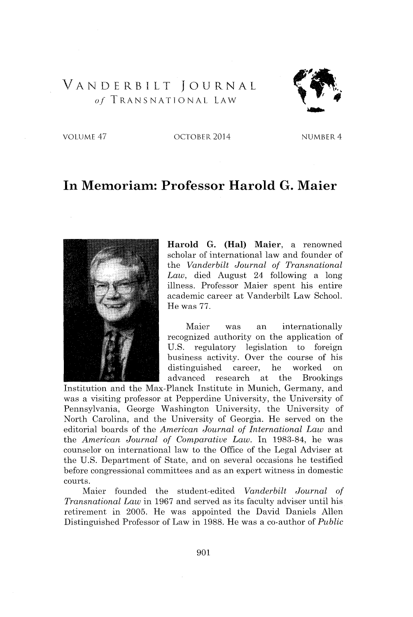### VANDERBILT **JOURNAL** *of* **TRANSNATIONAL** LAW



**VOLUME** 47 OCTOBER 2014 NUMBER 4

### **In Memoriam: Professor Harold G. Maier**



**Harold G. (Hal) Maier, a** renowned scholar of international law and founder of the *Vanderbilt Journal of Transnational Law,* died August 24 following a long illness. Professor Maier spent his entire academic career at Vanderbilt Law School. He was **77.**

Maier was an internationally recognized authority on the application of **U.S.** regulatory legislation to foreign business activity. Over the course of his distinguished career, he worked on advanced research at the Brookings

Institution and the Max-Planck Institute in Munich, Germany, and was a visiting professor at Pepperdine University, the University of Pennsylvania, George Washington University, the University of North Carolina, and the University of Georgia. He served on the editorial boards of the *American Journal of International Law* and the *American Journal of Comparative Law.* In **1983-84,** he was counselor on international law to the Office of the Legal Adviser at the **U.S.** Department of State, and on several occasions he testified before congressional committees and as an expert witness in domestic courts.

Maier founded the student-edited *Vanderbilt Journal of Transnational Law* in **1967** and served as its faculty adviser until his retirement in **2005.** He was appointed the David Daniels Allen Distinguished Professor of Law in **1988.** He was a co-author of *Public*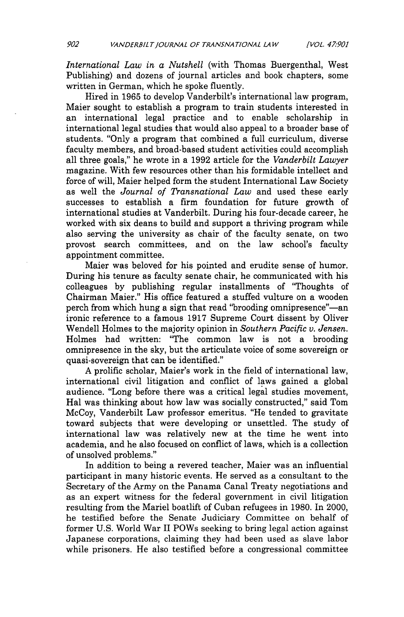*International Law in a Nutshell* (with Thomas Buergenthal, West Publishing) and dozens of journal articles and book chapters, some written in German, which he spoke fluently.

Hired in **1965** to develop Vanderbilt's international law program, Maier sought to establish a program to train students interested in an international legal practice and to enable scholarship in international legal studies that would also appeal to a broader base of students. "Only a program that combined a full curriculum, diverse faculty members, and broad-based student activities could accomplish all three goals," he wrote in a **1992** article for the *Vanderbilt Lawyer* magazine. With few resources other than his formidable intellect and force of will, Maier helped form the student International Law Society as well the *Journal of Transnational Law* and used these early successes to establish a firm foundation for future growth of international studies at Vanderbilt. During his four-decade career, he worked with six deans to build and support a thriving program while also serving the university as chair of the faculty senate, on two provost search committees, and on the law school's faculty appointment committee.

Maier was beloved for his pointed and erudite sense of humor. During his tenure as faculty senate chair, he communicated with his colleagues **by** publishing regular installments of "Thoughts of Chairman Maier." His office featured a stuffed vulture on a wooden perch from which hung a sign that read "brooding omnipresence"—an ironic reference to a famous **1917** Supreme Court dissent **by** Oliver Wendell Holmes to the majority opinion in *Southern Pacific v. Jensen.* Holmes had written: "The common law is not a brooding omnipresence in the sky, but the articulate voice of some sovereign or quasi-sovereign that can be identified."

**A** prolific scholar, Maier's work in the field of international law, international civil litigation and conflict of laws gained a global audience. "Long before there was a critical legal studies movement, Hal was thinking about how law was socially constructed," said Tom McCoy, Vanderbilt Law professor emeritus. "He tended to gravitate toward subjects that were developing or unsettled. The study of international law was relatively new at the time he went into academia, and he also focused on conflict of laws, which is a collection of unsolved problems."

In addition to being a revered teacher, Maier was an influential participant in many historic events. He served as a consultant to the Secretary of the Army on the Panama Canal Treaty negotiations and as an expert witness for the federal government in civil litigation resulting from the Mariel boatlift of Cuban refugees in **1980.** In 2000, he testified before the Senate Judiciary Committee on behalf of former **U.S.** World War II POWs seeking to bring legal action against Japanese corporations, claiming they had been used as slave labor while prisoners. He also testified before a congressional committee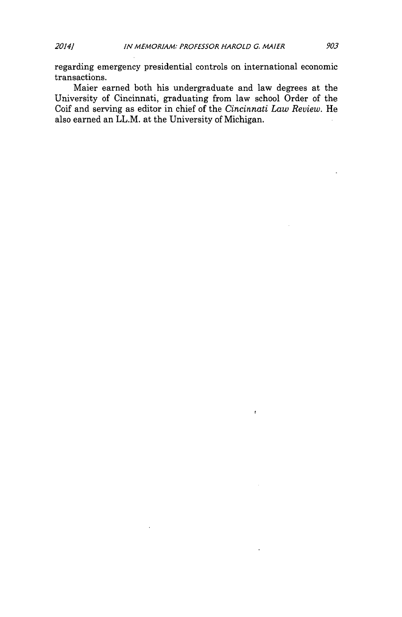regarding emergency presidential controls on international economic transactions.

Maier earned both his undergraduate and law degrees at the University of Cincinnati, graduating from law school Order of the Coif and serving as editor in chief of the *Cincinnati Law Review.* He also earned an LL.M. at the University of Michigan.

 $\bar{z}$ 

 $\ddot{\bullet}$